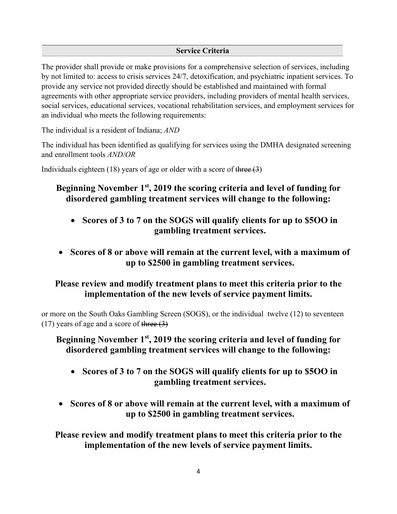### **Service Criteria**

The provider shall provide or make provisions for a comprehensive selection of services, including by not limited to: access to crisis services 24/7, detoxification, and psychiatric inpatient services. To provide any service not provided directly should be established and maintained with formal agreements with other appropriate service providers, including providers of mental health services, social services, educational services, vocational rehabilitation services, and employment services for an individual who meets the following requirements:

The individual is a resident of Indiana; *AND*

The individual has been identified as qualifying for services using the DMHA designated screening and enrollment tools *AND/OR*

Individuals eighteen (18) years of age or older with a score of three  $(3)$ 

# **Beginning November 1st, 2019 the scoring criteria and level of funding for disordered gambling treatment services will change to the following:**

- **Scores of 3 to 7 on the SOGS will qualify clients for up to \$5OO in gambling treatment services.**
- **Scores of 8 or above will remain at the current level, with a maximum of up to \$2500 in gambling treatment services.**

# **Please review and modify treatment plans to meet this criteria prior to the implementation of the new levels of service payment limits.**

or more on the South Oaks Gambling Screen (SOGS), or the individual twelve (12) to seventeen  $(17)$  years of age and a score of three  $(3)$ 

# **Beginning November 1st, 2019 the scoring criteria and level of funding for disordered gambling treatment services will change to the following:**

- **Scores of 3 to 7 on the SOGS will qualify clients for up to \$5OO in gambling treatment services.**
- **Scores of 8 or above will remain at the current level, with a maximum of up to \$2500 in gambling treatment services.**

**Please review and modify treatment plans to meet this criteria prior to the implementation of the new levels of service payment limits.**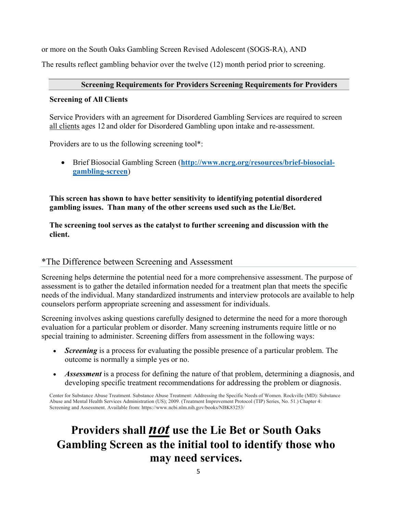or more on the South Oaks Gambling Screen Revised Adolescent (SOGS-RA), AND

The results reflect gambling behavior over the twelve (12) month period prior to screening.

### **Screening Requirements for Providers Screening Requirements for Providers**

### **Screening of All Clients**

Service Providers with an agreement for Disordered Gambling Services are required to screen all clients ages 12 and older for Disordered Gambling upon intake and re-assessment.

Providers are to us the following screening tool\*:

 Brief Biosocial Gambling Screen (**http://www.ncrg.org/resources/brief-biosocialgambling-screen**)

**This screen has shown to have better sensitivity to identifying potential disordered gambling issues. Than many of the other screens used such as the Lie/Bet.** 

**The screening tool serves as the catalyst to further screening and discussion with the client.** 

## \*The Difference between Screening and Assessment

Screening helps determine the potential need for a more comprehensive assessment. The purpose of assessment is to gather the detailed information needed for a treatment plan that meets the specific needs of the individual. Many standardized instruments and interview protocols are available to help counselors perform appropriate screening and assessment for individuals.

Screening involves asking questions carefully designed to determine the need for a more thorough evaluation for a particular problem or disorder. Many screening instruments require little or no special training to administer. Screening differs from assessment in the following ways:

- *Screening* is a process for evaluating the possible presence of a particular problem. The outcome is normally a simple yes or no.
- *Assessment* is a process for defining the nature of that problem, determining a diagnosis, and developing specific treatment recommendations for addressing the problem or diagnosis.

Center for Substance Abuse Treatment. Substance Abuse Treatment: Addressing the Specific Needs of Women. Rockville (MD): Substance Abuse and Mental Health Services Administration (US); 2009. (Treatment Improvement Protocol (TIP) Series, No. 51.) Chapter 4: Screening and Assessment. Available from: https://www.ncbi.nlm.nih.gov/books/NBK83253/

# **Providers shall** *not* **use the Lie Bet or South Oaks Gambling Screen as the initial tool to identify those who may need services.**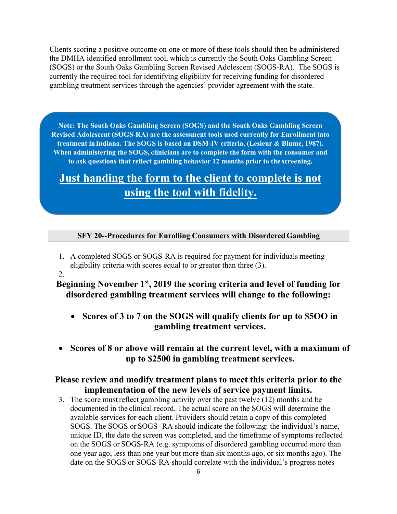Clients scoring a positive outcome on one or more of these tools should then be administered the DMHA identified enrollment tool, which is currently the South Oaks Gambling Screen (SOGS) or the South Oaks Gambling Screen Revised Adolescent (SOGS-RA). The SOGS is currently the required tool for identifying eligibility for receiving funding for disordered gambling treatment services through the agencies' provider agreement with the state.

**Note: The South Oaks Gambling Screen (SOGS) and the South Oaks Gambling Screen Revised Adolescent (SOGS-RA) are the assessment tools used currently for Enrollment into treatment in Indiana. The SOGS is based on DSM-IV criteria, (Lesieur & Blume, 1987). When administering the SOGS, clinicians are to complete the form with the consumer and to ask questions that reflect gambling behavior 12 months prior to the screening.** 

# **Just handing the form to the client to complete is not using the tool with fidelity.**

#### **SFY 20--Procedures for Enrolling Consumers with Disordered Gambling**

- 1. A completed SOGS or SOGS-RA is required for payment for individuals meeting eligibility criteria with scores equal to or greater than three  $(3)$ .
- 2.

.

## **Beginning November 1st, 2019 the scoring criteria and level of funding for disordered gambling treatment services will change to the following:**

- **Scores of 3 to 7 on the SOGS will qualify clients for up to \$5OO in gambling treatment services.**
- **Scores of 8 or above will remain at the current level, with a maximum of up to \$2500 in gambling treatment services.**

## **Please review and modify treatment plans to meet this criteria prior to the implementation of the new levels of service payment limits.**

3. The score must reflect gambling activity over the past twelve (12) months and be documented in the clinical record. The actual score on the SOGS will determine the available services for each client. Providers should retain a copy of this completed SOGS. The SOGS or SOGS- RA should indicate the following: the individual's name, unique ID, the date the screen was completed, and the timeframe of symptoms reflected on the SOGS or SOGS-RA (e.g. symptoms of disordered gambling occurred more than one year ago, less than one year but more than six months ago, or six months ago). The date on the SOGS or SOGS-RA should correlate with the individual's progress notes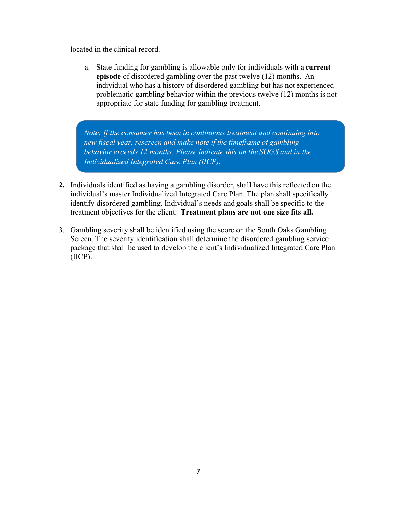located in the clinical record.

a. State funding for gambling is allowable only for individuals with a **current episode** of disordered gambling over the past twelve (12) months. An individual who has a history of disordered gambling but has not experienced problematic gambling behavior within the previous twelve (12) months is not appropriate for state funding for gambling treatment.

*Note: If the consumer has been in continuous treatment and continuing into new fiscal year, rescreen and make note if the timeframe of gambling behavior exceeds 12 months. Please indicate this on the SOGS and in the Individualized Integrated Care Plan (IICP).*

- **2.** Individuals identified as having a gambling disorder, shall have this reflected on the individual's master Individualized Integrated Care Plan. The plan shall specifically identify disordered gambling. Individual's needs and goals shall be specific to the treatment objectives for the client. **Treatment plans are not one size fits all.**
- 3. Gambling severity shall be identified using the score on the South Oaks Gambling Screen. The severity identification shall determine the disordered gambling service package that shall be used to develop the client's Individualized Integrated Care Plan (IICP).